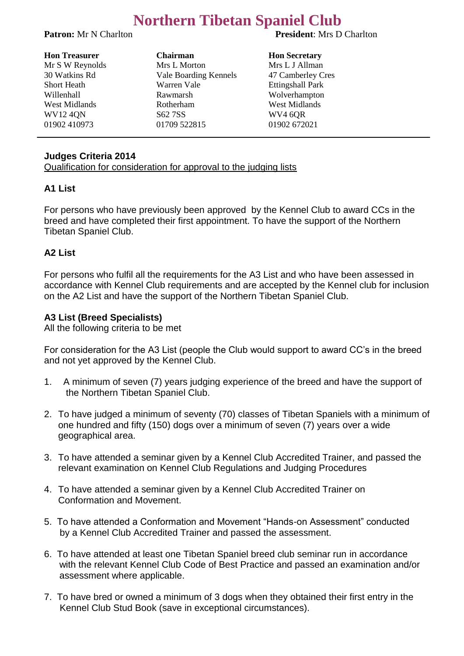# **Northern Tibetan Spaniel Club**

**Patron:** Mr N Charlton **President**: Mrs D Charlton

| <b>Hon Treasurer</b> | <b>Chairman</b>       |
|----------------------|-----------------------|
| Mr S W Reynolds      | Mrs L Morton          |
| 30 Watkins Rd        | Vale Boarding Kennels |
| <b>Short Heath</b>   | Warren Vale           |
| Willenhall           | Rawmarsh              |
| West Midlands        | Rotherham             |
| <b>WV124QN</b>       | S62 7SS               |
| 01902 410973         | 01709 522815          |

**Hon Secretary** Mrs L J Allman 47 Camberley Cres Ettingshall Park Wolverhampton West Midlands **WV4 6OR** 01902 672021

#### **Judges Criteria 2014**

Qualification for consideration for approval to the judging lists

#### **A1 List**

For persons who have previously been approved by the Kennel Club to award CCs in the breed and have completed their first appointment. To have the support of the Northern Tibetan Spaniel Club.

#### **A2 List**

For persons who fulfil all the requirements for the A3 List and who have been assessed in accordance with Kennel Club requirements and are accepted by the Kennel club for inclusion on the A2 List and have the support of the Northern Tibetan Spaniel Club.

#### **A3 List (Breed Specialists)**

All the following criteria to be met

For consideration for the A3 List (people the Club would support to award CC's in the breed and not yet approved by the Kennel Club.

- 1. A minimum of seven (7) years judging experience of the breed and have the support of the Northern Tibetan Spaniel Club.
- 2. To have judged a minimum of seventy (70) classes of Tibetan Spaniels with a minimum of one hundred and fifty (150) dogs over a minimum of seven (7) years over a wide geographical area.
- 3. To have attended a seminar given by a Kennel Club Accredited Trainer, and passed the relevant examination on Kennel Club Regulations and Judging Procedures
- 4. To have attended a seminar given by a Kennel Club Accredited Trainer on Conformation and Movement.
- 5. To have attended a Conformation and Movement "Hands-on Assessment" conducted by a Kennel Club Accredited Trainer and passed the assessment.
- 6. To have attended at least one Tibetan Spaniel breed club seminar run in accordance with the relevant Kennel Club Code of Best Practice and passed an examination and/or assessment where applicable.
- 7. To have bred or owned a minimum of 3 dogs when they obtained their first entry in the Kennel Club Stud Book (save in exceptional circumstances).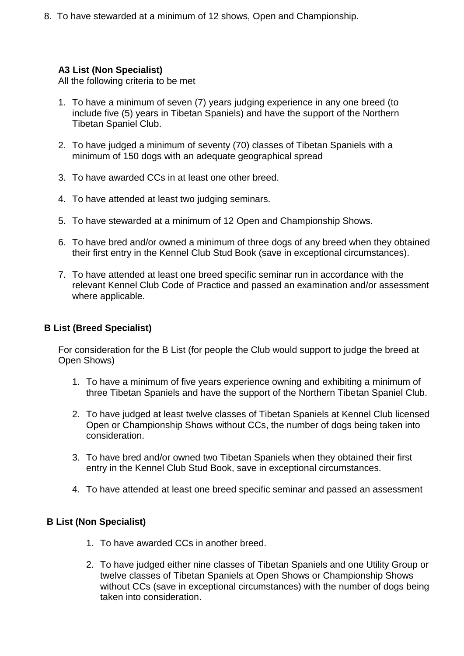8. To have stewarded at a minimum of 12 shows, Open and Championship.

### **A3 List (Non Specialist)**

All the following criteria to be met

- 1. To have a minimum of seven (7) years judging experience in any one breed (to include five (5) years in Tibetan Spaniels) and have the support of the Northern Tibetan Spaniel Club.
- 2. To have judged a minimum of seventy (70) classes of Tibetan Spaniels with a minimum of 150 dogs with an adequate geographical spread
- 3. To have awarded CCs in at least one other breed.
- 4. To have attended at least two judging seminars.
- 5. To have stewarded at a minimum of 12 Open and Championship Shows.
- 6. To have bred and/or owned a minimum of three dogs of any breed when they obtained their first entry in the Kennel Club Stud Book (save in exceptional circumstances).
- 7. To have attended at least one breed specific seminar run in accordance with the relevant Kennel Club Code of Practice and passed an examination and/or assessment where applicable.

## **B List (Breed Specialist)**

For consideration for the B List (for people the Club would support to judge the breed at Open Shows)

- 1. To have a minimum of five years experience owning and exhibiting a minimum of three Tibetan Spaniels and have the support of the Northern Tibetan Spaniel Club.
- 2. To have judged at least twelve classes of Tibetan Spaniels at Kennel Club licensed Open or Championship Shows without CCs, the number of dogs being taken into consideration.
- 3. To have bred and/or owned two Tibetan Spaniels when they obtained their first entry in the Kennel Club Stud Book, save in exceptional circumstances.
- 4. To have attended at least one breed specific seminar and passed an assessment

### **B List (Non Specialist)**

- 1. To have awarded CCs in another breed.
- 2. To have judged either nine classes of Tibetan Spaniels and one Utility Group or twelve classes of Tibetan Spaniels at Open Shows or Championship Shows without CCs (save in exceptional circumstances) with the number of dogs being taken into consideration.